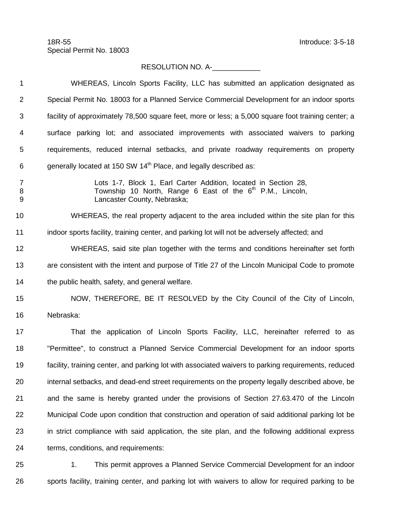## RESOLUTION NO. A-

 WHEREAS, Lincoln Sports Facility, LLC has submitted an application designated as Special Permit No. 18003 for a Planned Service Commercial Development for an indoor sports facility of approximately 78,500 square feet, more or less; a 5,000 square foot training center; a surface parking lot; and associated improvements with associated waivers to parking requirements, reduced internal setbacks, and private roadway requirements on property 6 generally located at 150 SW 14<sup>th</sup> Place, and legally described as: Lots 1-7, Block 1, Earl Carter Addition, located in Section 28, 8 Township 10 North, Range 6 East of the 6<sup>th</sup> P.M., Lincoln, Lancaster County, Nebraska; WHEREAS, the real property adjacent to the area included within the site plan for this indoor sports facility, training center, and parking lot will not be adversely affected; and WHEREAS, said site plan together with the terms and conditions hereinafter set forth are consistent with the intent and purpose of Title 27 of the Lincoln Municipal Code to promote the public health, safety, and general welfare. NOW, THEREFORE, BE IT RESOLVED by the City Council of the City of Lincoln, Nebraska: 17 That the application of Lincoln Sports Facility, LLC, hereinafter referred to as "Permittee", to construct a Planned Service Commercial Development for an indoor sports facility, training center, and parking lot with associated waivers to parking requirements, reduced internal setbacks, and dead-end street requirements on the property legally described above, be and the same is hereby granted under the provisions of Section 27.63.470 of the Lincoln Municipal Code upon condition that construction and operation of said additional parking lot be in strict compliance with said application, the site plan, and the following additional express terms, conditions, and requirements:

 1. This permit approves a Planned Service Commercial Development for an indoor sports facility, training center, and parking lot with waivers to allow for required parking to be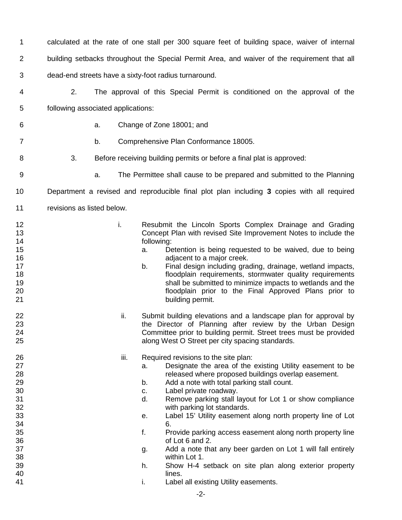calculated at the rate of one stall per 300 square feet of building space, waiver of internal building setbacks throughout the Special Permit Area, and waiver of the requirement that all dead-end streets have a sixty-foot radius turnaround.

- 2. The approval of this Special Permit is conditioned on the approval of the following associated applications:
- 

a. Change of Zone 18001; and

- b. Comprehensive Plan Conformance 18005.
- 3. Before receiving building permits or before a final plat is approved:
- 
- a. The Permittee shall cause to be prepared and submitted to the Planning

Department a revised and reproducible final plot plan including **3** copies with all required

- 11 revisions as listed below.
- **i.** Resubmit the Lincoln Sports Complex Drainage and Grading Concept Plan with revised Site Improvement Notes to include the following:
- a. Detention is being requested to be waived, due to being **16 adjacent to a major creek.**
- 17 b. Final design including grading, drainage, wetland impacts,<br>18 floodplain requirements, stormwater quality requirements 18 floodplain requirements, stormwater quality requirements<br>19 floodplain requirements, stormwater quality requirements 19 19 shall be submitted to minimize impacts to wetlands and the submitted to minimize impacts to wetlands and the 20 floodplain prior to the Final Approved Plans prior to 21 building permit.
- **ii.** Submit building elevations and a landscape plan for approval by the Director of Planning after review by the Urban Design 24 Committee prior to building permit. Street trees must be provided<br>25 along West O Street per city spacing standards. along West O Street per city spacing standards.
- **iii.** Required revisions to the site plan:
- **a.** Designate the area of the existing Utility easement to be released where proposed buildings overlap easement.
- b. Add a note with total parking stall count.
- c. Label private roadway.
- d. Remove parking stall layout for Lot 1 or show compliance 32 with parking lot standards.<br>33 and 20 minutes of the Uabel 15' Utility easement
- e. Label 15' Utility easement along north property line of Lot 6.
- f. Provide parking access easement along north property line of Lot 6 and 2.
- g. Add a note that any beer garden on Lot 1 will fall entirely 38 within Lot 1.<br>39 h. Show H-4 s
- Show H-4 setback on site plan along exterior property 40 lines.
- **i.** Label all existing Utility easements.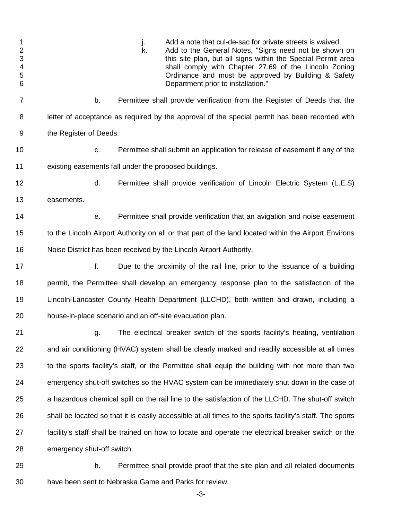| $\mathbf 1$<br>$\overline{\mathbf{c}}$<br>3<br>$\overline{\mathbf{4}}$<br>5<br>$6\phantom{1}$ | Add a note that cul-de-sac for private streets is waived.<br>j.<br>k.<br>Add to the General Notes, "Signs need not be shown on<br>this site plan, but all signs within the Special Permit area<br>shall comply with Chapter 27.69 of the Lincoln Zoning<br>Ordinance and must be approved by Building & Safety<br>Department prior to installation." |
|-----------------------------------------------------------------------------------------------|------------------------------------------------------------------------------------------------------------------------------------------------------------------------------------------------------------------------------------------------------------------------------------------------------------------------------------------------------|
| $\overline{7}$                                                                                | Permittee shall provide verification from the Register of Deeds that the<br>b.                                                                                                                                                                                                                                                                       |
| 8                                                                                             | letter of acceptance as required by the approval of the special permit has been recorded with                                                                                                                                                                                                                                                        |
| 9                                                                                             | the Register of Deeds.                                                                                                                                                                                                                                                                                                                               |
| 10                                                                                            | Permittee shall submit an application for release of easement if any of the<br>C.                                                                                                                                                                                                                                                                    |
| 11                                                                                            | existing easements fall under the proposed buildings.                                                                                                                                                                                                                                                                                                |
| 12                                                                                            | d.<br>Permittee shall provide verification of Lincoln Electric System (L.E.S)                                                                                                                                                                                                                                                                        |
| 13                                                                                            | easements.                                                                                                                                                                                                                                                                                                                                           |
| 14                                                                                            | Permittee shall provide verification that an avigation and noise easement<br>е.                                                                                                                                                                                                                                                                      |
| 15                                                                                            | to the Lincoln Airport Authority on all or that part of the land located within the Airport Environs                                                                                                                                                                                                                                                 |
| 16                                                                                            | Noise District has been received by the Lincoln Airport Authority.                                                                                                                                                                                                                                                                                   |
| 17                                                                                            | f.<br>Due to the proximity of the rail line, prior to the issuance of a building                                                                                                                                                                                                                                                                     |
| 18                                                                                            | permit, the Permittee shall develop an emergency response plan to the satisfaction of the                                                                                                                                                                                                                                                            |
| 19                                                                                            | Lincoln-Lancaster County Health Department (LLCHD), both written and drawn, including a                                                                                                                                                                                                                                                              |
| 20                                                                                            | house-in-place scenario and an off-site evacuation plan.                                                                                                                                                                                                                                                                                             |
| 21                                                                                            | The electrical breaker switch of the sports facility's heating, ventilation<br>g.                                                                                                                                                                                                                                                                    |
| 22                                                                                            | and air conditioning (HVAC) system shall be clearly marked and readily accessible at all times                                                                                                                                                                                                                                                       |
| 23                                                                                            | to the sports facility's staff, or the Permittee shall equip the building with not more than two                                                                                                                                                                                                                                                     |
| 24                                                                                            | emergency shut-off switches so the HVAC system can be immediately shut down in the case of                                                                                                                                                                                                                                                           |
| 25                                                                                            | a hazardous chemical spill on the rail line to the satisfaction of the LLCHD. The shut-off switch                                                                                                                                                                                                                                                    |
| 26                                                                                            | shall be located so that it is easily accessible at all times to the sports facility's staff. The sports                                                                                                                                                                                                                                             |
| 27                                                                                            | facility's staff shall be trained on how to locate and operate the electrical breaker switch or the                                                                                                                                                                                                                                                  |
| 28                                                                                            | emergency shut-off switch.                                                                                                                                                                                                                                                                                                                           |

 h. Permittee shall provide proof that the site plan and all related documents have been sent to Nebraska Game and Parks for review.

-3-